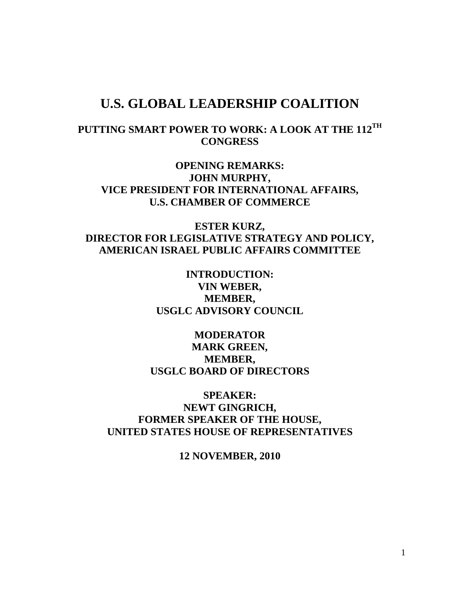## **U.S. GLOBAL LEADERSHIP COALITION**

## **PUTTING SMART POWER TO WORK: A LOOK AT THE 112TH CONGRESS**

**OPENING REMARKS: JOHN MURPHY, VICE PRESIDENT FOR INTERNATIONAL AFFAIRS, U.S. CHAMBER OF COMMERCE**

**ESTER KURZ, DIRECTOR FOR LEGISLATIVE STRATEGY AND POLICY, AMERICAN ISRAEL PUBLIC AFFAIRS COMMITTEE**

> **INTRODUCTION: VIN WEBER, MEMBER, USGLC ADVISORY COUNCIL**

**MODERATOR MARK GREEN, MEMBER, USGLC BOARD OF DIRECTORS**

**SPEAKER: NEWT GINGRICH, FORMER SPEAKER OF THE HOUSE, UNITED STATES HOUSE OF REPRESENTATIVES**

**12 NOVEMBER, 2010**

1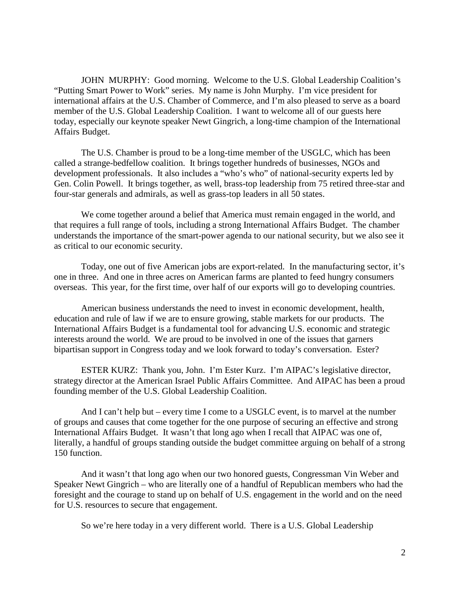JOHN MURPHY: Good morning. Welcome to the U.S. Global Leadership Coalition's "Putting Smart Power to Work" series. My name is John Murphy. I'm vice president for international affairs at the U.S. Chamber of Commerce, and I'm also pleased to serve as a board member of the U.S. Global Leadership Coalition. I want to welcome all of our guests here today, especially our keynote speaker Newt Gingrich, a long-time champion of the International Affairs Budget.

The U.S. Chamber is proud to be a long-time member of the USGLC, which has been called a strange-bedfellow coalition. It brings together hundreds of businesses, NGOs and development professionals. It also includes a "who's who" of national-security experts led by Gen. Colin Powell. It brings together, as well, brass-top leadership from 75 retired three-star and four-star generals and admirals, as well as grass-top leaders in all 50 states.

We come together around a belief that America must remain engaged in the world, and that requires a full range of tools, including a strong International Affairs Budget. The chamber understands the importance of the smart-power agenda to our national security, but we also see it as critical to our economic security.

Today, one out of five American jobs are export-related. In the manufacturing sector, it's one in three. And one in three acres on American farms are planted to feed hungry consumers overseas. This year, for the first time, over half of our exports will go to developing countries.

American business understands the need to invest in economic development, health, education and rule of law if we are to ensure growing, stable markets for our products. The International Affairs Budget is a fundamental tool for advancing U.S. economic and strategic interests around the world. We are proud to be involved in one of the issues that garners bipartisan support in Congress today and we look forward to today's conversation. Ester?

ESTER KURZ: Thank you, John. I'm Ester Kurz. I'm AIPAC's legislative director, strategy director at the American Israel Public Affairs Committee. And AIPAC has been a proud founding member of the U.S. Global Leadership Coalition.

And I can't help but – every time I come to a USGLC event, is to marvel at the number of groups and causes that come together for the one purpose of securing an effective and strong International Affairs Budget. It wasn't that long ago when I recall that AIPAC was one of, literally, a handful of groups standing outside the budget committee arguing on behalf of a strong 150 function.

And it wasn't that long ago when our two honored guests, Congressman Vin Weber and Speaker Newt Gingrich – who are literally one of a handful of Republican members who had the foresight and the courage to stand up on behalf of U.S. engagement in the world and on the need for U.S. resources to secure that engagement.

So we're here today in a very different world. There is a U.S. Global Leadership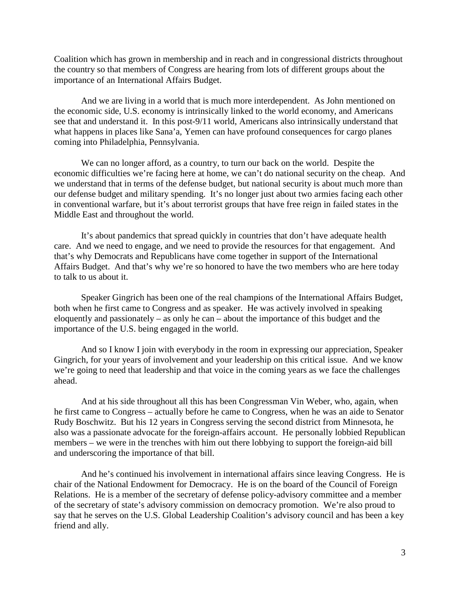Coalition which has grown in membership and in reach and in congressional districts throughout the country so that members of Congress are hearing from lots of different groups about the importance of an International Affairs Budget.

And we are living in a world that is much more interdependent. As John mentioned on the economic side, U.S. economy is intrinsically linked to the world economy, and Americans see that and understand it. In this post-9/11 world, Americans also intrinsically understand that what happens in places like Sana'a, Yemen can have profound consequences for cargo planes coming into Philadelphia, Pennsylvania.

We can no longer afford, as a country, to turn our back on the world. Despite the economic difficulties we're facing here at home, we can't do national security on the cheap. And we understand that in terms of the defense budget, but national security is about much more than our defense budget and military spending. It's no longer just about two armies facing each other in conventional warfare, but it's about terrorist groups that have free reign in failed states in the Middle East and throughout the world.

It's about pandemics that spread quickly in countries that don't have adequate health care. And we need to engage, and we need to provide the resources for that engagement. And that's why Democrats and Republicans have come together in support of the International Affairs Budget. And that's why we're so honored to have the two members who are here today to talk to us about it.

Speaker Gingrich has been one of the real champions of the International Affairs Budget, both when he first came to Congress and as speaker. He was actively involved in speaking eloquently and passionately – as only he can – about the importance of this budget and the importance of the U.S. being engaged in the world.

And so I know I join with everybody in the room in expressing our appreciation, Speaker Gingrich, for your years of involvement and your leadership on this critical issue. And we know we're going to need that leadership and that voice in the coming years as we face the challenges ahead.

And at his side throughout all this has been Congressman Vin Weber, who, again, when he first came to Congress – actually before he came to Congress, when he was an aide to Senator Rudy Boschwitz. But his 12 years in Congress serving the second district from Minnesota, he also was a passionate advocate for the foreign-affairs account. He personally lobbied Republican members – we were in the trenches with him out there lobbying to support the foreign-aid bill and underscoring the importance of that bill.

And he's continued his involvement in international affairs since leaving Congress. He is chair of the National Endowment for Democracy. He is on the board of the Council of Foreign Relations. He is a member of the secretary of defense policy-advisory committee and a member of the secretary of state's advisory commission on democracy promotion. We're also proud to say that he serves on the U.S. Global Leadership Coalition's advisory council and has been a key friend and ally.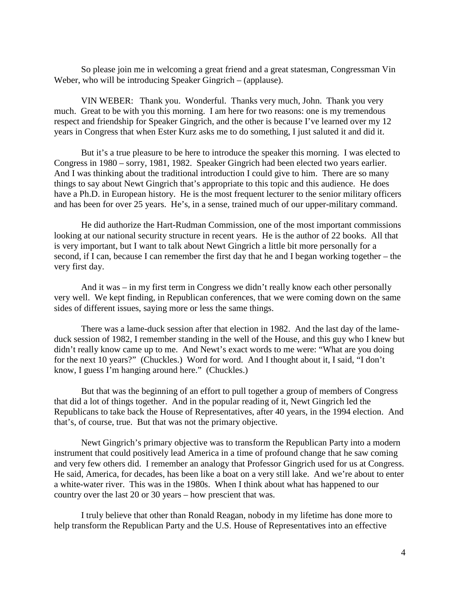So please join me in welcoming a great friend and a great statesman, Congressman Vin Weber, who will be introducing Speaker Gingrich – (applause).

VIN WEBER: Thank you. Wonderful. Thanks very much, John. Thank you very much. Great to be with you this morning. I am here for two reasons: one is my tremendous respect and friendship for Speaker Gingrich, and the other is because I've learned over my 12 years in Congress that when Ester Kurz asks me to do something, I just saluted it and did it.

But it's a true pleasure to be here to introduce the speaker this morning. I was elected to Congress in 1980 – sorry, 1981, 1982. Speaker Gingrich had been elected two years earlier. And I was thinking about the traditional introduction I could give to him. There are so many things to say about Newt Gingrich that's appropriate to this topic and this audience. He does have a Ph.D. in European history. He is the most frequent lecturer to the senior military officers and has been for over 25 years. He's, in a sense, trained much of our upper-military command.

He did authorize the Hart-Rudman Commission, one of the most important commissions looking at our national security structure in recent years. He is the author of 22 books. All that is very important, but I want to talk about Newt Gingrich a little bit more personally for a second, if I can, because I can remember the first day that he and I began working together – the very first day.

And it was – in my first term in Congress we didn't really know each other personally very well. We kept finding, in Republican conferences, that we were coming down on the same sides of different issues, saying more or less the same things.

There was a lame-duck session after that election in 1982. And the last day of the lameduck session of 1982, I remember standing in the well of the House, and this guy who I knew but didn't really know came up to me. And Newt's exact words to me were: "What are you doing for the next 10 years?" (Chuckles.) Word for word. And I thought about it, I said, "I don't know, I guess I'm hanging around here." (Chuckles.)

But that was the beginning of an effort to pull together a group of members of Congress that did a lot of things together. And in the popular reading of it, Newt Gingrich led the Republicans to take back the House of Representatives, after 40 years, in the 1994 election. And that's, of course, true. But that was not the primary objective.

Newt Gingrich's primary objective was to transform the Republican Party into a modern instrument that could positively lead America in a time of profound change that he saw coming and very few others did. I remember an analogy that Professor Gingrich used for us at Congress. He said, America, for decades, has been like a boat on a very still lake. And we're about to enter a white-water river. This was in the 1980s. When I think about what has happened to our country over the last 20 or 30 years – how prescient that was.

I truly believe that other than Ronald Reagan, nobody in my lifetime has done more to help transform the Republican Party and the U.S. House of Representatives into an effective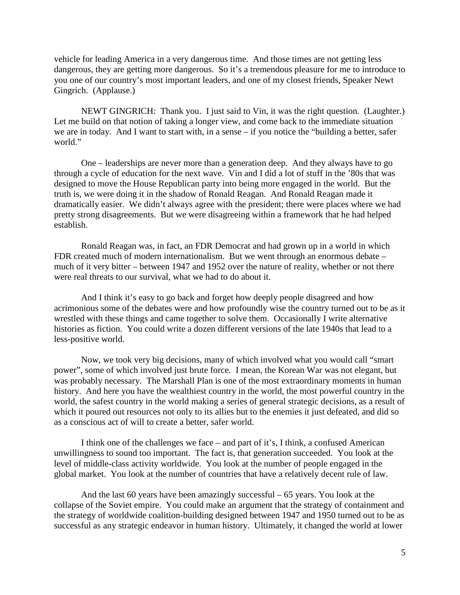vehicle for leading America in a very dangerous time. And those times are not getting less dangerous, they are getting more dangerous. So it's a tremendous pleasure for me to introduce to you one of our country's most important leaders, and one of my closest friends, Speaker Newt Gingrich. (Applause.)

NEWT GINGRICH: Thank you. I just said to Vin, it was the right question. (Laughter.) Let me build on that notion of taking a longer view, and come back to the immediate situation we are in today. And I want to start with, in a sense – if you notice the "building a better, safer world."

One – leaderships are never more than a generation deep. And they always have to go through a cycle of education for the next wave. Vin and I did a lot of stuff in the '80s that was designed to move the House Republican party into being more engaged in the world. But the truth is, we were doing it in the shadow of Ronald Reagan. And Ronald Reagan made it dramatically easier. We didn't always agree with the president; there were places where we had pretty strong disagreements. But we were disagreeing within a framework that he had helped establish.

Ronald Reagan was, in fact, an FDR Democrat and had grown up in a world in which FDR created much of modern internationalism. But we went through an enormous debate – much of it very bitter – between 1947 and 1952 over the nature of reality, whether or not there were real threats to our survival, what we had to do about it.

And I think it's easy to go back and forget how deeply people disagreed and how acrimonious some of the debates were and how profoundly wise the country turned out to be as it wrestled with these things and came together to solve them. Occasionally I write alternative histories as fiction. You could write a dozen different versions of the late 1940s that lead to a less-positive world.

Now, we took very big decisions, many of which involved what you would call "smart power", some of which involved just brute force. I mean, the Korean War was not elegant, but was probably necessary. The Marshall Plan is one of the most extraordinary moments in human history. And here you have the wealthiest country in the world, the most powerful country in the world, the safest country in the world making a series of general strategic decisions, as a result of which it poured out resources not only to its allies but to the enemies it just defeated, and did so as a conscious act of will to create a better, safer world.

I think one of the challenges we face – and part of it's, I think, a confused American unwillingness to sound too important. The fact is, that generation succeeded. You look at the level of middle-class activity worldwide. You look at the number of people engaged in the global market. You look at the number of countries that have a relatively decent rule of law.

And the last 60 years have been amazingly successful – 65 years. You look at the collapse of the Soviet empire. You could make an argument that the strategy of containment and the strategy of worldwide coalition-building designed between 1947 and 1950 turned out to be as successful as any strategic endeavor in human history. Ultimately, it changed the world at lower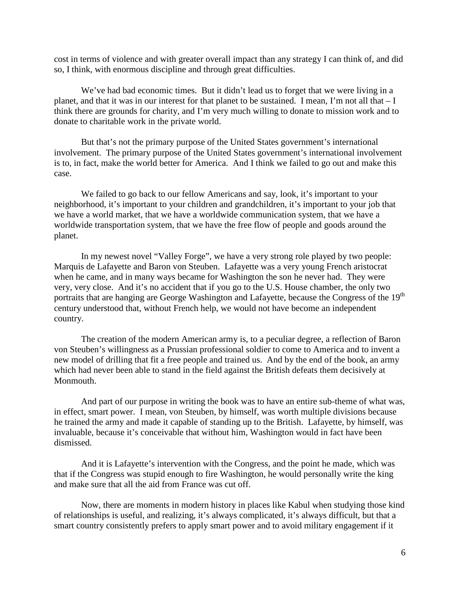cost in terms of violence and with greater overall impact than any strategy I can think of, and did so, I think, with enormous discipline and through great difficulties.

We've had bad economic times. But it didn't lead us to forget that we were living in a planet, and that it was in our interest for that planet to be sustained. I mean, I'm not all that – I think there are grounds for charity, and I'm very much willing to donate to mission work and to donate to charitable work in the private world.

But that's not the primary purpose of the United States government's international involvement. The primary purpose of the United States government's international involvement is to, in fact, make the world better for America. And I think we failed to go out and make this case.

We failed to go back to our fellow Americans and say, look, it's important to your neighborhood, it's important to your children and grandchildren, it's important to your job that we have a world market, that we have a worldwide communication system, that we have a worldwide transportation system, that we have the free flow of people and goods around the planet.

In my newest novel "Valley Forge", we have a very strong role played by two people: Marquis de Lafayette and Baron von Steuben. Lafayette was a very young French aristocrat when he came, and in many ways became for Washington the son he never had. They were very, very close. And it's no accident that if you go to the U.S. House chamber, the only two portraits that are hanging are George Washington and Lafayette, because the Congress of the 19<sup>th</sup> century understood that, without French help, we would not have become an independent country.

The creation of the modern American army is, to a peculiar degree, a reflection of Baron von Steuben's willingness as a Prussian professional soldier to come to America and to invent a new model of drilling that fit a free people and trained us. And by the end of the book, an army which had never been able to stand in the field against the British defeats them decisively at Monmouth.

And part of our purpose in writing the book was to have an entire sub-theme of what was, in effect, smart power. I mean, von Steuben, by himself, was worth multiple divisions because he trained the army and made it capable of standing up to the British. Lafayette, by himself, was invaluable, because it's conceivable that without him, Washington would in fact have been dismissed.

And it is Lafayette's intervention with the Congress, and the point he made, which was that if the Congress was stupid enough to fire Washington, he would personally write the king and make sure that all the aid from France was cut off.

Now, there are moments in modern history in places like Kabul when studying those kind of relationships is useful, and realizing, it's always complicated, it's always difficult, but that a smart country consistently prefers to apply smart power and to avoid military engagement if it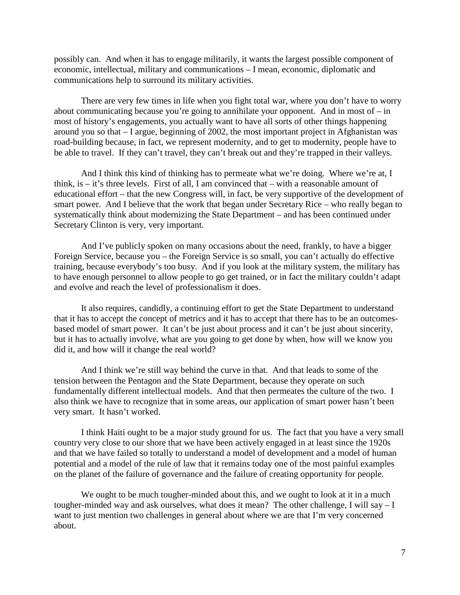possibly can. And when it has to engage militarily, it wants the largest possible component of economic, intellectual, military and communications – I mean, economic, diplomatic and communications help to surround its military activities.

There are very few times in life when you fight total war, where you don't have to worry about communicating because you're going to annihilate your opponent. And in most of  $-$  in most of history's engagements, you actually want to have all sorts of other things happening around you so that – I argue, beginning of 2002, the most important project in Afghanistan was road-building because, in fact, we represent modernity, and to get to modernity, people have to be able to travel. If they can't travel, they can't break out and they're trapped in their valleys.

And I think this kind of thinking has to permeate what we're doing. Where we're at, I think, is – it's three levels. First of all, I am convinced that – with a reasonable amount of educational effort – that the new Congress will, in fact, be very supportive of the development of smart power. And I believe that the work that began under Secretary Rice – who really began to systematically think about modernizing the State Department – and has been continued under Secretary Clinton is very, very important.

And I've publicly spoken on many occasions about the need, frankly, to have a bigger Foreign Service, because you – the Foreign Service is so small, you can't actually do effective training, because everybody's too busy. And if you look at the military system, the military has to have enough personnel to allow people to go get trained, or in fact the military couldn't adapt and evolve and reach the level of professionalism it does.

It also requires, candidly, a continuing effort to get the State Department to understand that it has to accept the concept of metrics and it has to accept that there has to be an outcomesbased model of smart power. It can't be just about process and it can't be just about sincerity, but it has to actually involve, what are you going to get done by when, how will we know you did it, and how will it change the real world?

And I think we're still way behind the curve in that. And that leads to some of the tension between the Pentagon and the State Department, because they operate on such fundamentally different intellectual models. And that then permeates the culture of the two. I also think we have to recognize that in some areas, our application of smart power hasn't been very smart. It hasn't worked.

I think Haiti ought to be a major study ground for us. The fact that you have a very small country very close to our shore that we have been actively engaged in at least since the 1920s and that we have failed so totally to understand a model of development and a model of human potential and a model of the rule of law that it remains today one of the most painful examples on the planet of the failure of governance and the failure of creating opportunity for people.

We ought to be much tougher-minded about this, and we ought to look at it in a much tougher-minded way and ask ourselves, what does it mean? The other challenge, I will say – I want to just mention two challenges in general about where we are that I'm very concerned about.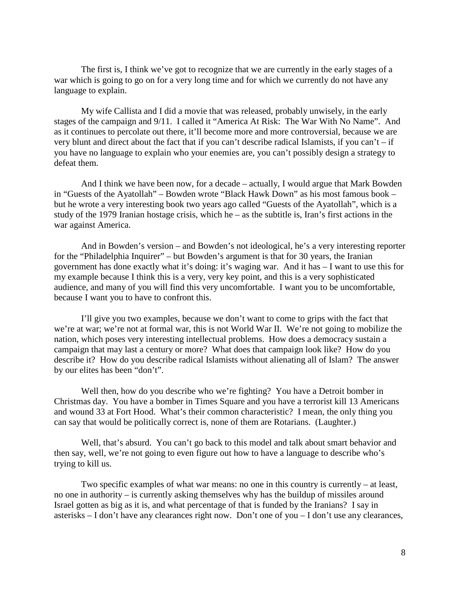The first is, I think we've got to recognize that we are currently in the early stages of a war which is going to go on for a very long time and for which we currently do not have any language to explain.

My wife Callista and I did a movie that was released, probably unwisely, in the early stages of the campaign and 9/11. I called it "America At Risk: The War With No Name". And as it continues to percolate out there, it'll become more and more controversial, because we are very blunt and direct about the fact that if you can't describe radical Islamists, if you can't – if you have no language to explain who your enemies are, you can't possibly design a strategy to defeat them.

And I think we have been now, for a decade – actually, I would argue that Mark Bowden in "Guests of the Ayatollah" – Bowden wrote "Black Hawk Down" as his most famous book – but he wrote a very interesting book two years ago called "Guests of the Ayatollah", which is a study of the 1979 Iranian hostage crisis, which he – as the subtitle is, Iran's first actions in the war against America.

And in Bowden's version – and Bowden's not ideological, he's a very interesting reporter for the "Philadelphia Inquirer" – but Bowden's argument is that for 30 years, the Iranian government has done exactly what it's doing: it's waging war. And it has – I want to use this for my example because I think this is a very, very key point, and this is a very sophisticated audience, and many of you will find this very uncomfortable. I want you to be uncomfortable, because I want you to have to confront this.

I'll give you two examples, because we don't want to come to grips with the fact that we're at war; we're not at formal war, this is not World War II. We're not going to mobilize the nation, which poses very interesting intellectual problems. How does a democracy sustain a campaign that may last a century or more? What does that campaign look like? How do you describe it? How do you describe radical Islamists without alienating all of Islam? The answer by our elites has been "don't".

Well then, how do you describe who we're fighting? You have a Detroit bomber in Christmas day. You have a bomber in Times Square and you have a terrorist kill 13 Americans and wound 33 at Fort Hood. What's their common characteristic? I mean, the only thing you can say that would be politically correct is, none of them are Rotarians. (Laughter.)

Well, that's absurd. You can't go back to this model and talk about smart behavior and then say, well, we're not going to even figure out how to have a language to describe who's trying to kill us.

Two specific examples of what war means: no one in this country is currently – at least, no one in authority – is currently asking themselves why has the buildup of missiles around Israel gotten as big as it is, and what percentage of that is funded by the Iranians? I say in asterisks – I don't have any clearances right now. Don't one of you – I don't use any clearances,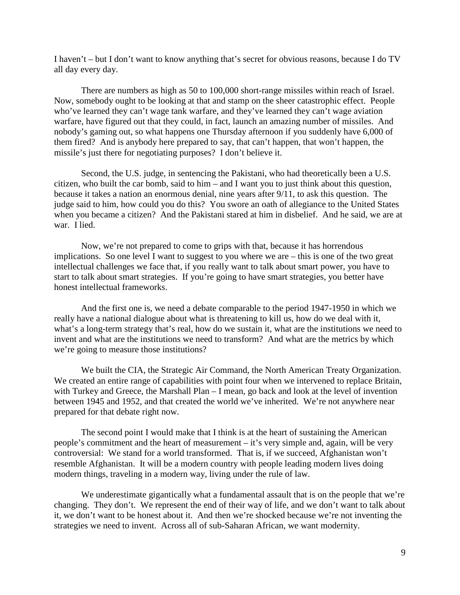I haven't – but I don't want to know anything that's secret for obvious reasons, because I do TV all day every day.

There are numbers as high as 50 to 100,000 short-range missiles within reach of Israel. Now, somebody ought to be looking at that and stamp on the sheer catastrophic effect. People who've learned they can't wage tank warfare, and they've learned they can't wage aviation warfare, have figured out that they could, in fact, launch an amazing number of missiles. And nobody's gaming out, so what happens one Thursday afternoon if you suddenly have 6,000 of them fired? And is anybody here prepared to say, that can't happen, that won't happen, the missile's just there for negotiating purposes? I don't believe it.

Second, the U.S. judge, in sentencing the Pakistani, who had theoretically been a U.S. citizen, who built the car bomb, said to him – and I want you to just think about this question, because it takes a nation an enormous denial, nine years after 9/11, to ask this question. The judge said to him, how could you do this? You swore an oath of allegiance to the United States when you became a citizen? And the Pakistani stared at him in disbelief. And he said, we are at war. I lied.

Now, we're not prepared to come to grips with that, because it has horrendous implications. So one level I want to suggest to you where we are – this is one of the two great intellectual challenges we face that, if you really want to talk about smart power, you have to start to talk about smart strategies. If you're going to have smart strategies, you better have honest intellectual frameworks.

And the first one is, we need a debate comparable to the period 1947-1950 in which we really have a national dialogue about what is threatening to kill us, how do we deal with it, what's a long-term strategy that's real, how do we sustain it, what are the institutions we need to invent and what are the institutions we need to transform? And what are the metrics by which we're going to measure those institutions?

We built the CIA, the Strategic Air Command, the North American Treaty Organization. We created an entire range of capabilities with point four when we intervened to replace Britain, with Turkey and Greece, the Marshall Plan – I mean, go back and look at the level of invention between 1945 and 1952, and that created the world we've inherited. We're not anywhere near prepared for that debate right now.

The second point I would make that I think is at the heart of sustaining the American people's commitment and the heart of measurement – it's very simple and, again, will be very controversial: We stand for a world transformed. That is, if we succeed, Afghanistan won't resemble Afghanistan. It will be a modern country with people leading modern lives doing modern things, traveling in a modern way, living under the rule of law.

We underestimate gigantically what a fundamental assault that is on the people that we're changing. They don't. We represent the end of their way of life, and we don't want to talk about it, we don't want to be honest about it. And then we're shocked because we're not inventing the strategies we need to invent. Across all of sub-Saharan African, we want modernity.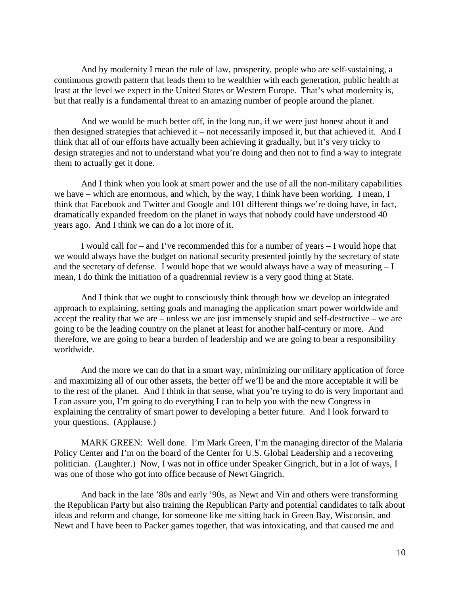And by modernity I mean the rule of law, prosperity, people who are self-sustaining, a continuous growth pattern that leads them to be wealthier with each generation, public health at least at the level we expect in the United States or Western Europe. That's what modernity is, but that really is a fundamental threat to an amazing number of people around the planet.

And we would be much better off, in the long run, if we were just honest about it and then designed strategies that achieved it – not necessarily imposed it, but that achieved it. And I think that all of our efforts have actually been achieving it gradually, but it's very tricky to design strategies and not to understand what you're doing and then not to find a way to integrate them to actually get it done.

And I think when you look at smart power and the use of all the non-military capabilities we have – which are enormous, and which, by the way, I think have been working. I mean, I think that Facebook and Twitter and Google and 101 different things we're doing have, in fact, dramatically expanded freedom on the planet in ways that nobody could have understood 40 years ago. And I think we can do a lot more of it.

I would call for – and I've recommended this for a number of years – I would hope that we would always have the budget on national security presented jointly by the secretary of state and the secretary of defense. I would hope that we would always have a way of measuring – I mean, I do think the initiation of a quadrennial review is a very good thing at State.

And I think that we ought to consciously think through how we develop an integrated approach to explaining, setting goals and managing the application smart power worldwide and accept the reality that we are – unless we are just immensely stupid and self-destructive – we are going to be the leading country on the planet at least for another half-century or more. And therefore, we are going to bear a burden of leadership and we are going to bear a responsibility worldwide.

And the more we can do that in a smart way, minimizing our military application of force and maximizing all of our other assets, the better off we'll be and the more acceptable it will be to the rest of the planet. And I think in that sense, what you're trying to do is very important and I can assure you, I'm going to do everything I can to help you with the new Congress in explaining the centrality of smart power to developing a better future. And I look forward to your questions. (Applause.)

MARK GREEN: Well done. I'm Mark Green, I'm the managing director of the Malaria Policy Center and I'm on the board of the Center for U.S. Global Leadership and a recovering politician. (Laughter.) Now, I was not in office under Speaker Gingrich, but in a lot of ways, I was one of those who got into office because of Newt Gingrich.

And back in the late '80s and early '90s, as Newt and Vin and others were transforming the Republican Party but also training the Republican Party and potential candidates to talk about ideas and reform and change, for someone like me sitting back in Green Bay, Wisconsin, and Newt and I have been to Packer games together, that was intoxicating, and that caused me and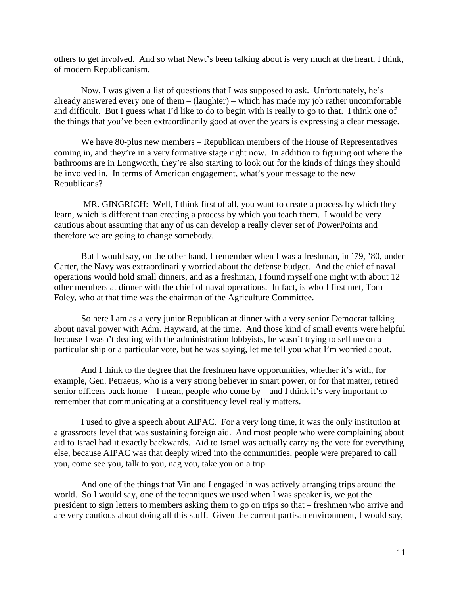others to get involved. And so what Newt's been talking about is very much at the heart, I think, of modern Republicanism.

Now, I was given a list of questions that I was supposed to ask. Unfortunately, he's already answered every one of them – (laughter) – which has made my job rather uncomfortable and difficult. But I guess what I'd like to do to begin with is really to go to that. I think one of the things that you've been extraordinarily good at over the years is expressing a clear message.

We have 80-plus new members – Republican members of the House of Representatives coming in, and they're in a very formative stage right now. In addition to figuring out where the bathrooms are in Longworth, they're also starting to look out for the kinds of things they should be involved in. In terms of American engagement, what's your message to the new Republicans?

MR. GINGRICH: Well, I think first of all, you want to create a process by which they learn, which is different than creating a process by which you teach them. I would be very cautious about assuming that any of us can develop a really clever set of PowerPoints and therefore we are going to change somebody.

But I would say, on the other hand, I remember when I was a freshman, in '79, '80, under Carter, the Navy was extraordinarily worried about the defense budget. And the chief of naval operations would hold small dinners, and as a freshman, I found myself one night with about 12 other members at dinner with the chief of naval operations. In fact, is who I first met, Tom Foley, who at that time was the chairman of the Agriculture Committee.

So here I am as a very junior Republican at dinner with a very senior Democrat talking about naval power with Adm. Hayward, at the time. And those kind of small events were helpful because I wasn't dealing with the administration lobbyists, he wasn't trying to sell me on a particular ship or a particular vote, but he was saying, let me tell you what I'm worried about.

And I think to the degree that the freshmen have opportunities, whether it's with, for example, Gen. Petraeus, who is a very strong believer in smart power, or for that matter, retired senior officers back home – I mean, people who come by – and I think it's very important to remember that communicating at a constituency level really matters.

I used to give a speech about AIPAC. For a very long time, it was the only institution at a grassroots level that was sustaining foreign aid. And most people who were complaining about aid to Israel had it exactly backwards. Aid to Israel was actually carrying the vote for everything else, because AIPAC was that deeply wired into the communities, people were prepared to call you, come see you, talk to you, nag you, take you on a trip.

And one of the things that Vin and I engaged in was actively arranging trips around the world. So I would say, one of the techniques we used when I was speaker is, we got the president to sign letters to members asking them to go on trips so that – freshmen who arrive and are very cautious about doing all this stuff. Given the current partisan environment, I would say,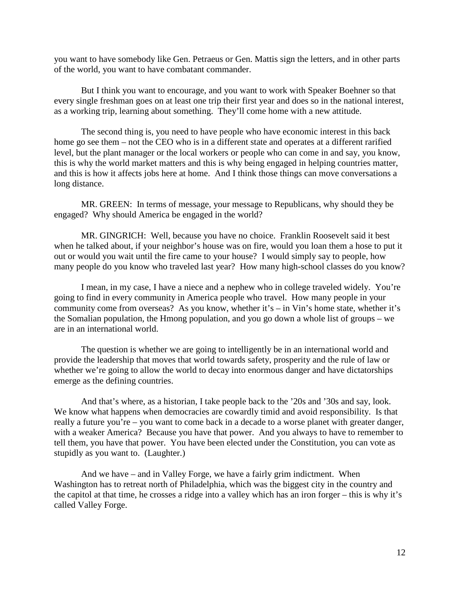you want to have somebody like Gen. Petraeus or Gen. Mattis sign the letters, and in other parts of the world, you want to have combatant commander.

But I think you want to encourage, and you want to work with Speaker Boehner so that every single freshman goes on at least one trip their first year and does so in the national interest, as a working trip, learning about something. They'll come home with a new attitude.

The second thing is, you need to have people who have economic interest in this back home go see them – not the CEO who is in a different state and operates at a different rarified level, but the plant manager or the local workers or people who can come in and say, you know, this is why the world market matters and this is why being engaged in helping countries matter, and this is how it affects jobs here at home. And I think those things can move conversations a long distance.

MR. GREEN: In terms of message, your message to Republicans, why should they be engaged? Why should America be engaged in the world?

MR. GINGRICH: Well, because you have no choice. Franklin Roosevelt said it best when he talked about, if your neighbor's house was on fire, would you loan them a hose to put it out or would you wait until the fire came to your house? I would simply say to people, how many people do you know who traveled last year? How many high-school classes do you know?

I mean, in my case, I have a niece and a nephew who in college traveled widely. You're going to find in every community in America people who travel. How many people in your community come from overseas? As you know, whether it's – in Vin's home state, whether it's the Somalian population, the Hmong population, and you go down a whole list of groups – we are in an international world.

The question is whether we are going to intelligently be in an international world and provide the leadership that moves that world towards safety, prosperity and the rule of law or whether we're going to allow the world to decay into enormous danger and have dictatorships emerge as the defining countries.

And that's where, as a historian, I take people back to the '20s and '30s and say, look. We know what happens when democracies are cowardly timid and avoid responsibility. Is that really a future you're – you want to come back in a decade to a worse planet with greater danger, with a weaker America? Because you have that power. And you always to have to remember to tell them, you have that power. You have been elected under the Constitution, you can vote as stupidly as you want to. (Laughter.)

And we have – and in Valley Forge, we have a fairly grim indictment. When Washington has to retreat north of Philadelphia, which was the biggest city in the country and the capitol at that time, he crosses a ridge into a valley which has an iron forger – this is why it's called Valley Forge.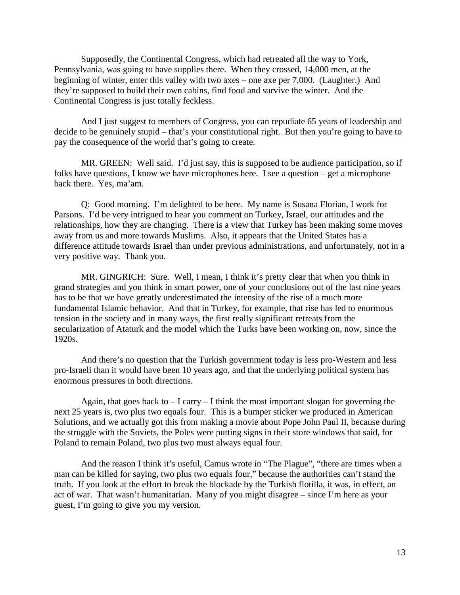Supposedly, the Continental Congress, which had retreated all the way to York, Pennsylvania, was going to have supplies there. When they crossed, 14,000 men, at the beginning of winter, enter this valley with two axes – one axe per 7,000. (Laughter.) And they're supposed to build their own cabins, find food and survive the winter. And the Continental Congress is just totally feckless.

And I just suggest to members of Congress, you can repudiate 65 years of leadership and decide to be genuinely stupid – that's your constitutional right. But then you're going to have to pay the consequence of the world that's going to create.

MR. GREEN: Well said. I'd just say, this is supposed to be audience participation, so if folks have questions, I know we have microphones here. I see a question – get a microphone back there. Yes, ma'am.

Q: Good morning. I'm delighted to be here. My name is Susana Florian, I work for Parsons. I'd be very intrigued to hear you comment on Turkey, Israel, our attitudes and the relationships, how they are changing. There is a view that Turkey has been making some moves away from us and more towards Muslims. Also, it appears that the United States has a difference attitude towards Israel than under previous administrations, and unfortunately, not in a very positive way. Thank you.

MR. GINGRICH: Sure. Well, I mean, I think it's pretty clear that when you think in grand strategies and you think in smart power, one of your conclusions out of the last nine years has to be that we have greatly underestimated the intensity of the rise of a much more fundamental Islamic behavior. And that in Turkey, for example, that rise has led to enormous tension in the society and in many ways, the first really significant retreats from the secularization of Ataturk and the model which the Turks have been working on, now, since the 1920s.

And there's no question that the Turkish government today is less pro-Western and less pro-Israeli than it would have been 10 years ago, and that the underlying political system has enormous pressures in both directions.

Again, that goes back to  $-$  I carry  $-$  I think the most important slogan for governing the next 25 years is, two plus two equals four. This is a bumper sticker we produced in American Solutions, and we actually got this from making a movie about Pope John Paul II, because during the struggle with the Soviets, the Poles were putting signs in their store windows that said, for Poland to remain Poland, two plus two must always equal four.

And the reason I think it's useful, Camus wrote in "The Plague", "there are times when a man can be killed for saying, two plus two equals four," because the authorities can't stand the truth. If you look at the effort to break the blockade by the Turkish flotilla, it was, in effect, an act of war. That wasn't humanitarian. Many of you might disagree – since I'm here as your guest, I'm going to give you my version.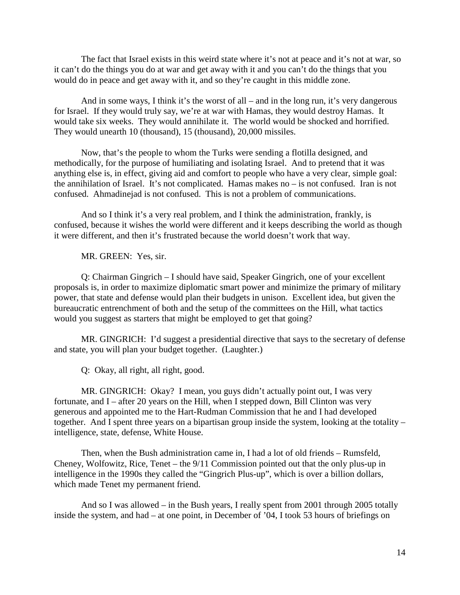The fact that Israel exists in this weird state where it's not at peace and it's not at war, so it can't do the things you do at war and get away with it and you can't do the things that you would do in peace and get away with it, and so they're caught in this middle zone.

And in some ways, I think it's the worst of all – and in the long run, it's very dangerous for Israel. If they would truly say, we're at war with Hamas, they would destroy Hamas. It would take six weeks. They would annihilate it. The world would be shocked and horrified. They would unearth 10 (thousand), 15 (thousand), 20,000 missiles.

Now, that's the people to whom the Turks were sending a flotilla designed, and methodically, for the purpose of humiliating and isolating Israel. And to pretend that it was anything else is, in effect, giving aid and comfort to people who have a very clear, simple goal: the annihilation of Israel. It's not complicated. Hamas makes no – is not confused. Iran is not confused. Ahmadinejad is not confused. This is not a problem of communications.

And so I think it's a very real problem, and I think the administration, frankly, is confused, because it wishes the world were different and it keeps describing the world as though it were different, and then it's frustrated because the world doesn't work that way.

MR. GREEN: Yes, sir.

Q: Chairman Gingrich – I should have said, Speaker Gingrich, one of your excellent proposals is, in order to maximize diplomatic smart power and minimize the primary of military power, that state and defense would plan their budgets in unison. Excellent idea, but given the bureaucratic entrenchment of both and the setup of the committees on the Hill, what tactics would you suggest as starters that might be employed to get that going?

MR. GINGRICH: I'd suggest a presidential directive that says to the secretary of defense and state, you will plan your budget together. (Laughter.)

Q: Okay, all right, all right, good.

MR. GINGRICH: Okay? I mean, you guys didn't actually point out, I was very fortunate, and I – after 20 years on the Hill, when I stepped down, Bill Clinton was very generous and appointed me to the Hart-Rudman Commission that he and I had developed together. And I spent three years on a bipartisan group inside the system, looking at the totality – intelligence, state, defense, White House.

Then, when the Bush administration came in, I had a lot of old friends – Rumsfeld, Cheney, Wolfowitz, Rice, Tenet – the 9/11 Commission pointed out that the only plus-up in intelligence in the 1990s they called the "Gingrich Plus-up", which is over a billion dollars, which made Tenet my permanent friend.

And so I was allowed – in the Bush years, I really spent from 2001 through 2005 totally inside the system, and had – at one point, in December of '04, I took 53 hours of briefings on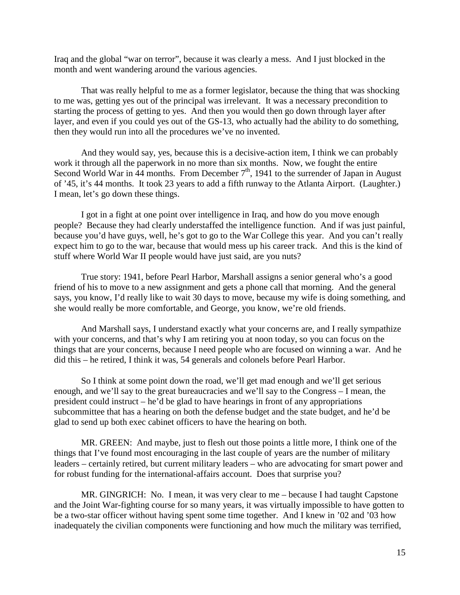Iraq and the global "war on terror", because it was clearly a mess. And I just blocked in the month and went wandering around the various agencies.

That was really helpful to me as a former legislator, because the thing that was shocking to me was, getting yes out of the principal was irrelevant. It was a necessary precondition to starting the process of getting to yes. And then you would then go down through layer after layer, and even if you could yes out of the GS-13, who actually had the ability to do something, then they would run into all the procedures we've no invented.

And they would say, yes, because this is a decisive-action item, I think we can probably work it through all the paperwork in no more than six months. Now, we fought the entire Second World War in 44 months. From December  $7<sup>th</sup>$ , 1941 to the surrender of Japan in August of '45, it's 44 months. It took 23 years to add a fifth runway to the Atlanta Airport. (Laughter.) I mean, let's go down these things.

I got in a fight at one point over intelligence in Iraq, and how do you move enough people? Because they had clearly understaffed the intelligence function. And if was just painful, because you'd have guys, well, he's got to go to the War College this year. And you can't really expect him to go to the war, because that would mess up his career track. And this is the kind of stuff where World War II people would have just said, are you nuts?

True story: 1941, before Pearl Harbor, Marshall assigns a senior general who's a good friend of his to move to a new assignment and gets a phone call that morning. And the general says, you know, I'd really like to wait 30 days to move, because my wife is doing something, and she would really be more comfortable, and George, you know, we're old friends.

And Marshall says, I understand exactly what your concerns are, and I really sympathize with your concerns, and that's why I am retiring you at noon today, so you can focus on the things that are your concerns, because I need people who are focused on winning a war. And he did this – he retired, I think it was, 54 generals and colonels before Pearl Harbor.

So I think at some point down the road, we'll get mad enough and we'll get serious enough, and we'll say to the great bureaucracies and we'll say to the Congress – I mean, the president could instruct – he'd be glad to have hearings in front of any appropriations subcommittee that has a hearing on both the defense budget and the state budget, and he'd be glad to send up both exec cabinet officers to have the hearing on both.

MR. GREEN: And maybe, just to flesh out those points a little more, I think one of the things that I've found most encouraging in the last couple of years are the number of military leaders – certainly retired, but current military leaders – who are advocating for smart power and for robust funding for the international-affairs account. Does that surprise you?

MR. GINGRICH: No. I mean, it was very clear to me – because I had taught Capstone and the Joint War-fighting course for so many years, it was virtually impossible to have gotten to be a two-star officer without having spent some time together. And I knew in '02 and '03 how inadequately the civilian components were functioning and how much the military was terrified,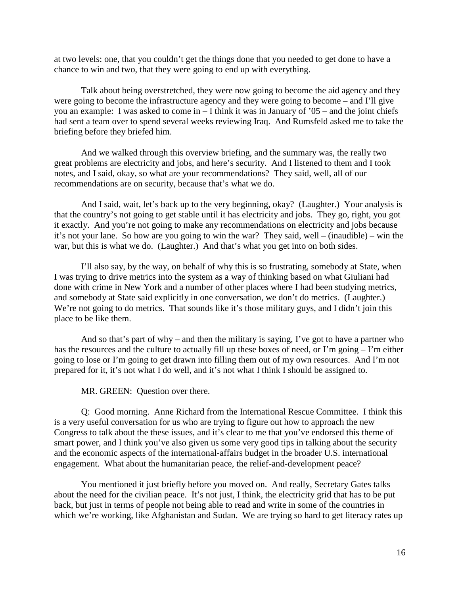at two levels: one, that you couldn't get the things done that you needed to get done to have a chance to win and two, that they were going to end up with everything.

Talk about being overstretched, they were now going to become the aid agency and they were going to become the infrastructure agency and they were going to become – and I'll give you an example: I was asked to come in  $-$  I think it was in January of '05 – and the joint chiefs had sent a team over to spend several weeks reviewing Iraq. And Rumsfeld asked me to take the briefing before they briefed him.

And we walked through this overview briefing, and the summary was, the really two great problems are electricity and jobs, and here's security. And I listened to them and I took notes, and I said, okay, so what are your recommendations? They said, well, all of our recommendations are on security, because that's what we do.

And I said, wait, let's back up to the very beginning, okay? (Laughter.) Your analysis is that the country's not going to get stable until it has electricity and jobs. They go, right, you got it exactly. And you're not going to make any recommendations on electricity and jobs because it's not your lane. So how are you going to win the war? They said, well – (inaudible) – win the war, but this is what we do. (Laughter.) And that's what you get into on both sides.

I'll also say, by the way, on behalf of why this is so frustrating, somebody at State, when I was trying to drive metrics into the system as a way of thinking based on what Giuliani had done with crime in New York and a number of other places where I had been studying metrics, and somebody at State said explicitly in one conversation, we don't do metrics. (Laughter.) We're not going to do metrics. That sounds like it's those military guys, and I didn't join this place to be like them.

And so that's part of why – and then the military is saying, I've got to have a partner who has the resources and the culture to actually fill up these boxes of need, or I'm going – I'm either going to lose or I'm going to get drawn into filling them out of my own resources. And I'm not prepared for it, it's not what I do well, and it's not what I think I should be assigned to.

MR. GREEN: Question over there.

Q: Good morning. Anne Richard from the International Rescue Committee. I think this is a very useful conversation for us who are trying to figure out how to approach the new Congress to talk about the these issues, and it's clear to me that you've endorsed this theme of smart power, and I think you've also given us some very good tips in talking about the security and the economic aspects of the international-affairs budget in the broader U.S. international engagement. What about the humanitarian peace, the relief-and-development peace?

You mentioned it just briefly before you moved on. And really, Secretary Gates talks about the need for the civilian peace. It's not just, I think, the electricity grid that has to be put back, but just in terms of people not being able to read and write in some of the countries in which we're working, like Afghanistan and Sudan. We are trying so hard to get literacy rates up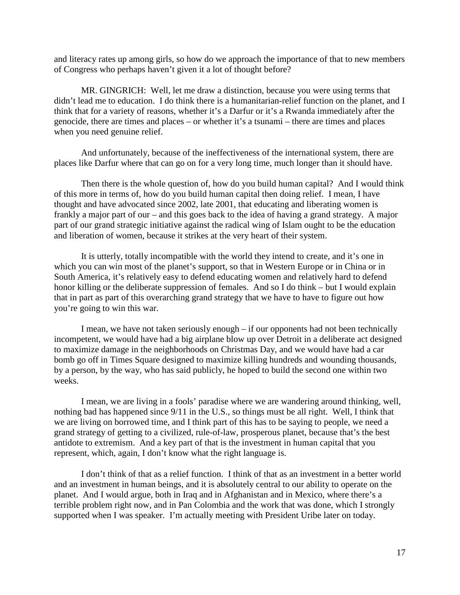and literacy rates up among girls, so how do we approach the importance of that to new members of Congress who perhaps haven't given it a lot of thought before?

MR. GINGRICH: Well, let me draw a distinction, because you were using terms that didn't lead me to education. I do think there is a humanitarian-relief function on the planet, and I think that for a variety of reasons, whether it's a Darfur or it's a Rwanda immediately after the genocide, there are times and places – or whether it's a tsunami – there are times and places when you need genuine relief.

And unfortunately, because of the ineffectiveness of the international system, there are places like Darfur where that can go on for a very long time, much longer than it should have.

Then there is the whole question of, how do you build human capital? And I would think of this more in terms of, how do you build human capital then doing relief. I mean, I have thought and have advocated since 2002, late 2001, that educating and liberating women is frankly a major part of our – and this goes back to the idea of having a grand strategy. A major part of our grand strategic initiative against the radical wing of Islam ought to be the education and liberation of women, because it strikes at the very heart of their system.

It is utterly, totally incompatible with the world they intend to create, and it's one in which you can win most of the planet's support, so that in Western Europe or in China or in South America, it's relatively easy to defend educating women and relatively hard to defend honor killing or the deliberate suppression of females. And so I do think – but I would explain that in part as part of this overarching grand strategy that we have to have to figure out how you're going to win this war.

I mean, we have not taken seriously enough – if our opponents had not been technically incompetent, we would have had a big airplane blow up over Detroit in a deliberate act designed to maximize damage in the neighborhoods on Christmas Day, and we would have had a car bomb go off in Times Square designed to maximize killing hundreds and wounding thousands, by a person, by the way, who has said publicly, he hoped to build the second one within two weeks.

I mean, we are living in a fools' paradise where we are wandering around thinking, well, nothing bad has happened since 9/11 in the U.S., so things must be all right. Well, I think that we are living on borrowed time, and I think part of this has to be saying to people, we need a grand strategy of getting to a civilized, rule-of-law, prosperous planet, because that's the best antidote to extremism. And a key part of that is the investment in human capital that you represent, which, again, I don't know what the right language is.

I don't think of that as a relief function. I think of that as an investment in a better world and an investment in human beings, and it is absolutely central to our ability to operate on the planet. And I would argue, both in Iraq and in Afghanistan and in Mexico, where there's a terrible problem right now, and in Pan Colombia and the work that was done, which I strongly supported when I was speaker. I'm actually meeting with President Uribe later on today.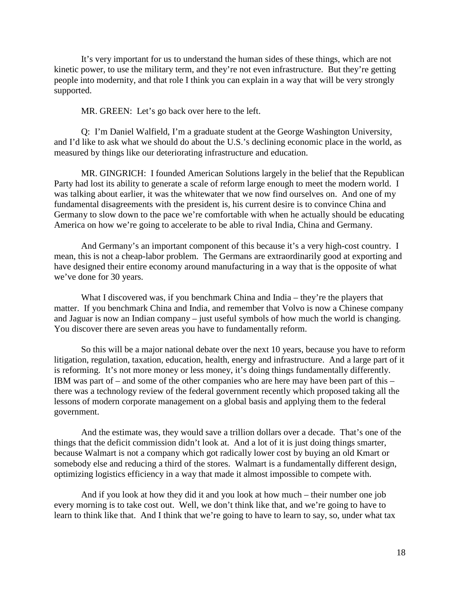It's very important for us to understand the human sides of these things, which are not kinetic power, to use the military term, and they're not even infrastructure. But they're getting people into modernity, and that role I think you can explain in a way that will be very strongly supported.

MR. GREEN: Let's go back over here to the left.

Q: I'm Daniel Walfield, I'm a graduate student at the George Washington University, and I'd like to ask what we should do about the U.S.'s declining economic place in the world, as measured by things like our deteriorating infrastructure and education.

MR. GINGRICH: I founded American Solutions largely in the belief that the Republican Party had lost its ability to generate a scale of reform large enough to meet the modern world. I was talking about earlier, it was the whitewater that we now find ourselves on. And one of my fundamental disagreements with the president is, his current desire is to convince China and Germany to slow down to the pace we're comfortable with when he actually should be educating America on how we're going to accelerate to be able to rival India, China and Germany.

And Germany's an important component of this because it's a very high-cost country. I mean, this is not a cheap-labor problem. The Germans are extraordinarily good at exporting and have designed their entire economy around manufacturing in a way that is the opposite of what we've done for 30 years.

What I discovered was, if you benchmark China and India – they're the players that matter. If you benchmark China and India, and remember that Volvo is now a Chinese company and Jaguar is now an Indian company – just useful symbols of how much the world is changing. You discover there are seven areas you have to fundamentally reform.

So this will be a major national debate over the next 10 years, because you have to reform litigation, regulation, taxation, education, health, energy and infrastructure. And a large part of it is reforming. It's not more money or less money, it's doing things fundamentally differently. IBM was part of – and some of the other companies who are here may have been part of this – there was a technology review of the federal government recently which proposed taking all the lessons of modern corporate management on a global basis and applying them to the federal government.

And the estimate was, they would save a trillion dollars over a decade. That's one of the things that the deficit commission didn't look at. And a lot of it is just doing things smarter, because Walmart is not a company which got radically lower cost by buying an old Kmart or somebody else and reducing a third of the stores. Walmart is a fundamentally different design, optimizing logistics efficiency in a way that made it almost impossible to compete with.

And if you look at how they did it and you look at how much – their number one job every morning is to take cost out. Well, we don't think like that, and we're going to have to learn to think like that. And I think that we're going to have to learn to say, so, under what tax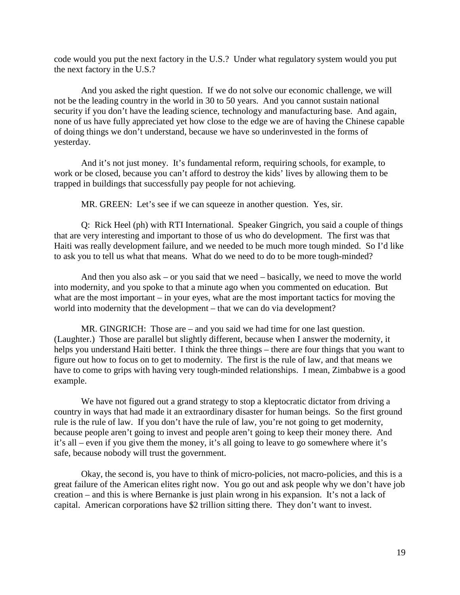code would you put the next factory in the U.S.? Under what regulatory system would you put the next factory in the U.S.?

And you asked the right question. If we do not solve our economic challenge, we will not be the leading country in the world in 30 to 50 years. And you cannot sustain national security if you don't have the leading science, technology and manufacturing base. And again, none of us have fully appreciated yet how close to the edge we are of having the Chinese capable of doing things we don't understand, because we have so underinvested in the forms of yesterday.

And it's not just money. It's fundamental reform, requiring schools, for example, to work or be closed, because you can't afford to destroy the kids' lives by allowing them to be trapped in buildings that successfully pay people for not achieving.

MR. GREEN: Let's see if we can squeeze in another question. Yes, sir.

Q: Rick Heel (ph) with RTI International. Speaker Gingrich, you said a couple of things that are very interesting and important to those of us who do development. The first was that Haiti was really development failure, and we needed to be much more tough minded. So I'd like to ask you to tell us what that means. What do we need to do to be more tough-minded?

And then you also ask – or you said that we need – basically, we need to move the world into modernity, and you spoke to that a minute ago when you commented on education. But what are the most important – in your eyes, what are the most important tactics for moving the world into modernity that the development – that we can do via development?

MR. GINGRICH: Those are – and you said we had time for one last question. (Laughter.) Those are parallel but slightly different, because when I answer the modernity, it helps you understand Haiti better. I think the three things – there are four things that you want to figure out how to focus on to get to modernity. The first is the rule of law, and that means we have to come to grips with having very tough-minded relationships. I mean, Zimbabwe is a good example.

We have not figured out a grand strategy to stop a kleptocratic dictator from driving a country in ways that had made it an extraordinary disaster for human beings. So the first ground rule is the rule of law. If you don't have the rule of law, you're not going to get modernity, because people aren't going to invest and people aren't going to keep their money there. And it's all – even if you give them the money, it's all going to leave to go somewhere where it's safe, because nobody will trust the government.

Okay, the second is, you have to think of micro-policies, not macro-policies, and this is a great failure of the American elites right now. You go out and ask people why we don't have job creation – and this is where Bernanke is just plain wrong in his expansion. It's not a lack of capital. American corporations have \$2 trillion sitting there. They don't want to invest.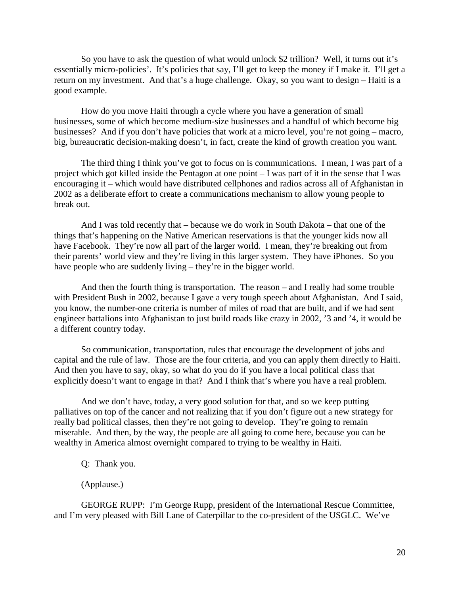So you have to ask the question of what would unlock \$2 trillion? Well, it turns out it's essentially micro-policies'. It's policies that say, I'll get to keep the money if I make it. I'll get a return on my investment. And that's a huge challenge. Okay, so you want to design – Haiti is a good example.

How do you move Haiti through a cycle where you have a generation of small businesses, some of which become medium-size businesses and a handful of which become big businesses? And if you don't have policies that work at a micro level, you're not going – macro, big, bureaucratic decision-making doesn't, in fact, create the kind of growth creation you want.

The third thing I think you've got to focus on is communications. I mean, I was part of a project which got killed inside the Pentagon at one point – I was part of it in the sense that I was encouraging it – which would have distributed cellphones and radios across all of Afghanistan in 2002 as a deliberate effort to create a communications mechanism to allow young people to break out.

And I was told recently that – because we do work in South Dakota – that one of the things that's happening on the Native American reservations is that the younger kids now all have Facebook. They're now all part of the larger world. I mean, they're breaking out from their parents' world view and they're living in this larger system. They have iPhones. So you have people who are suddenly living – they're in the bigger world.

And then the fourth thing is transportation. The reason – and I really had some trouble with President Bush in 2002, because I gave a very tough speech about Afghanistan. And I said, you know, the number-one criteria is number of miles of road that are built, and if we had sent engineer battalions into Afghanistan to just build roads like crazy in 2002, '3 and '4, it would be a different country today.

So communication, transportation, rules that encourage the development of jobs and capital and the rule of law. Those are the four criteria, and you can apply them directly to Haiti. And then you have to say, okay, so what do you do if you have a local political class that explicitly doesn't want to engage in that? And I think that's where you have a real problem.

And we don't have, today, a very good solution for that, and so we keep putting palliatives on top of the cancer and not realizing that if you don't figure out a new strategy for really bad political classes, then they're not going to develop. They're going to remain miserable. And then, by the way, the people are all going to come here, because you can be wealthy in America almost overnight compared to trying to be wealthy in Haiti.

Q: Thank you.

(Applause.)

GEORGE RUPP: I'm George Rupp, president of the International Rescue Committee, and I'm very pleased with Bill Lane of Caterpillar to the co-president of the USGLC. We've